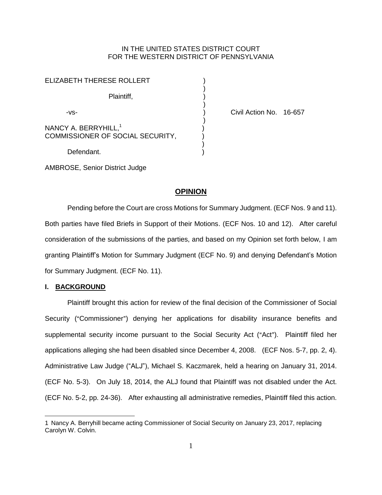## IN THE UNITED STATES DISTRICT COURT FOR THE WESTERN DISTRICT OF PENNSYLVANIA

| <b>ELIZABETH THERESE ROLLERT</b>                                     |  |
|----------------------------------------------------------------------|--|
| Plaintiff,                                                           |  |
| -VS-                                                                 |  |
| NANCY A. BERRYHILL, <sup>1</sup><br>COMMISSIONER OF SOCIAL SECURITY, |  |
| Defendant.                                                           |  |

Civil Action No. 16-657

AMBROSE, Senior District Judge

## **OPINION**

Pending before the Court are cross Motions for Summary Judgment. (ECF Nos. 9 and 11). Both parties have filed Briefs in Support of their Motions. (ECF Nos. 10 and 12). After careful consideration of the submissions of the parties, and based on my Opinion set forth below, I am granting Plaintiff's Motion for Summary Judgment (ECF No. 9) and denying Defendant's Motion for Summary Judgment. (ECF No. 11).

#### **I. BACKGROUND**

 $\overline{a}$ 

Plaintiff brought this action for review of the final decision of the Commissioner of Social Security ("Commissioner") denying her applications for disability insurance benefits and supplemental security income pursuant to the Social Security Act ("Act"). Plaintiff filed her applications alleging she had been disabled since December 4, 2008. (ECF Nos. 5-7, pp. 2, 4). Administrative Law Judge ("ALJ"), Michael S. Kaczmarek, held a hearing on January 31, 2014. (ECF No. 5-3). On July 18, 2014, the ALJ found that Plaintiff was not disabled under the Act. (ECF No. 5-2, pp. 24-36). After exhausting all administrative remedies, Plaintiff filed this action.

<sup>1</sup> Nancy A. Berryhill became acting Commissioner of Social Security on January 23, 2017, replacing Carolyn W. Colvin.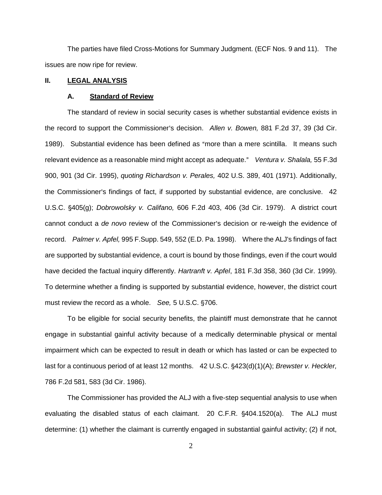The parties have filed Cross-Motions for Summary Judgment. (ECF Nos. 9 and 11). The issues are now ripe for review.

### **II. LEGAL ANALYSIS**

### **A. Standard of Review**

The standard of review in social security cases is whether substantial evidence exists in the record to support the Commissioner's decision. Allen v. Bowen, 881 F.2d 37, 39 (3d Cir. 1989). Substantial evidence has been defined as "more than a mere scintilla. It means such relevant evidence as a reasonable mind might accept as adequate." Ventura v. Shalala, 55 F.3d 900, 901 (3d Cir. 1995), *quoting Richardson v. Perales,* 402 U.S. 389, 401 (1971). Additionally, the Commissioner's findings of fact, if supported by substantial evidence, are conclusive. 42 U.S.C. '405(g); *Dobrowolsky v. Califano,* 606 F.2d 403, 406 (3d Cir. 1979). A district court cannot conduct a *de novo* review of the Commissioner's decision or re-weigh the evidence of record. *Palmer v. Apfel,* 995 F.Supp. 549, 552 (E.D. Pa. 1998). Where the ALJ's findings of fact are supported by substantial evidence, a court is bound by those findings, even if the court would have decided the factual inquiry differently. *Hartranft v. Apfel*, 181 F.3d 358, 360 (3d Cir. 1999). To determine whether a finding is supported by substantial evidence, however, the district court must review the record as a whole. *See*, 5 U.S.C. §706.

To be eligible for social security benefits, the plaintiff must demonstrate that he cannot engage in substantial gainful activity because of a medically determinable physical or mental impairment which can be expected to result in death or which has lasted or can be expected to last for a continuous period of at least 12 months. 42 U.S.C. §423(d)(1)(A); *Brewster v. Heckler*, 786 F.2d 581, 583 (3d Cir. 1986).

The Commissioner has provided the ALJ with a five-step sequential analysis to use when evaluating the disabled status of each claimant. 20 C.F.R.  $§404.1520(a)$ . The ALJ must determine: (1) whether the claimant is currently engaged in substantial gainful activity; (2) if not,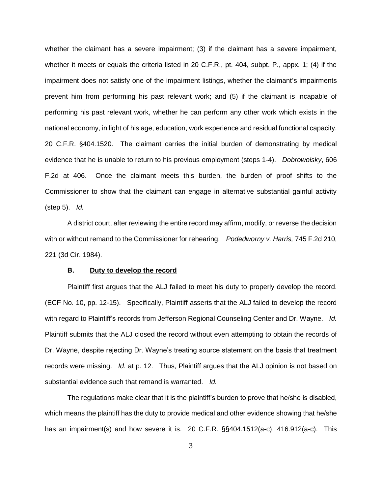whether the claimant has a severe impairment; (3) if the claimant has a severe impairment, whether it meets or equals the criteria listed in 20 C.F.R., pt. 404, subpt. P., appx. 1; (4) if the impairment does not satisfy one of the impairment listings, whether the claimant's impairments prevent him from performing his past relevant work; and (5) if the claimant is incapable of performing his past relevant work, whether he can perform any other work which exists in the national economy, in light of his age, education, work experience and residual functional capacity. 20 C.F.R. §404.1520. The claimant carries the initial burden of demonstrating by medical evidence that he is unable to return to his previous employment (steps 1-4). *Dobrowolsky*, 606 F.2d at 406. Once the claimant meets this burden, the burden of proof shifts to the Commissioner to show that the claimant can engage in alternative substantial gainful activity (step 5). *Id.*

A district court, after reviewing the entire record may affirm, modify, or reverse the decision with or without remand to the Commissioner for rehearing. *Podedworny v. Harris,* 745 F.2d 210, 221 (3d Cir. 1984).

#### **B. Duty to develop the record**

Plaintiff first argues that the ALJ failed to meet his duty to properly develop the record. (ECF No. 10, pp. 12-15). Specifically, Plaintiff asserts that the ALJ failed to develop the record with regard to Plaintiff's records from Jefferson Regional Counseling Center and Dr. Wayne. *Id.*  Plaintiff submits that the ALJ closed the record without even attempting to obtain the records of Dr. Wayne, despite rejecting Dr. Wayne's treating source statement on the basis that treatment records were missing. *Id.* at p. 12. Thus, Plaintiff argues that the ALJ opinion is not based on substantial evidence such that remand is warranted. *Id.* 

The regulations make clear that it is the plaintiff's burden to prove that he/she is disabled, which means the plaintiff has the duty to provide medical and other evidence showing that he/she has an impairment(s) and how severe it is. 20 C.F.R. §§404.1512(a-c), 416.912(a-c). This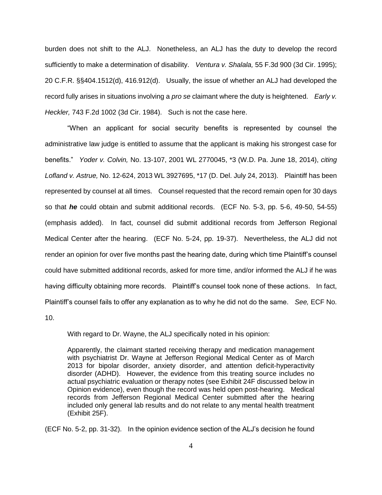burden does not shift to the ALJ. Nonetheless, an ALJ has the duty to develop the record sufficiently to make a determination of disability. *Ventura v. Shalala,* 55 F.3d 900 (3d Cir. 1995); 20 C.F.R. §§404.1512(d), 416.912(d). Usually, the issue of whether an ALJ had developed the record fully arises in situations involving a *pro se* claimant where the duty is heightened. *Early v. Heckler,* 743 F.2d 1002 (3d Cir. 1984). Such is not the case here.

"When an applicant for social security benefits is represented by counsel the administrative law judge is entitled to assume that the applicant is making his strongest case for benefits." *Yoder v. Colvin,* No. 13-107, 2001 WL 2770045, \*3 (W.D. Pa. June 18, 2014), *citing Lofland v. Astrue,* No. 12-624, 2013 WL 3927695, \*17 (D. Del. July 24, 2013). Plaintiff has been represented by counsel at all times. Counsel requested that the record remain open for 30 days so that *he* could obtain and submit additional records. (ECF No. 5-3, pp. 5-6, 49-50, 54-55) (emphasis added). In fact, counsel did submit additional records from Jefferson Regional Medical Center after the hearing. (ECF No. 5-24, pp. 19-37). Nevertheless, the ALJ did not render an opinion for over five months past the hearing date, during which time Plaintiff's counsel could have submitted additional records, asked for more time, and/or informed the ALJ if he was having difficulty obtaining more records. Plaintiff's counsel took none of these actions. In fact, Plaintiff's counsel fails to offer any explanation as to why he did not do the same. *See,* ECF No.

10.

With regard to Dr. Wayne, the ALJ specifically noted in his opinion:

Apparently, the claimant started receiving therapy and medication management with psychiatrist Dr. Wayne at Jefferson Regional Medical Center as of March 2013 for bipolar disorder, anxiety disorder, and attention deficit-hyperactivity disorder (ADHD). However, the evidence from this treating source includes no actual psychiatric evaluation or therapy notes (see Exhibit 24F discussed below in Opinion evidence), even though the record was held open post-hearing. Medical records from Jefferson Regional Medical Center submitted after the hearing included only general lab results and do not relate to any mental health treatment (Exhibit 25F).

(ECF No. 5-2, pp. 31-32). In the opinion evidence section of the ALJ's decision he found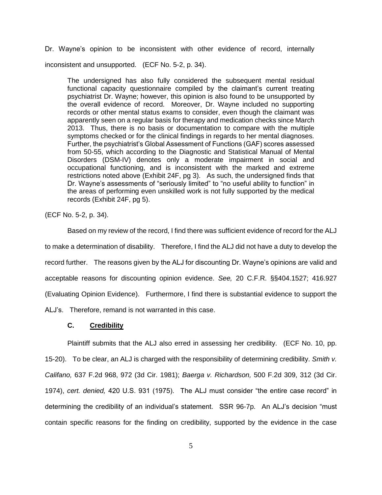Dr. Wayne's opinion to be inconsistent with other evidence of record, internally inconsistent and unsupported. (ECF No. 5-2, p. 34).

The undersigned has also fully considered the subsequent mental residual functional capacity questionnaire compiled by the claimant's current treating psychiatrist Dr. Wayne; however, this opinion is also found to be unsupported by the overall evidence of record. Moreover, Dr. Wayne included no supporting records or other mental status exams to consider, even though the claimant was apparently seen on a regular basis for therapy and medication checks since March 2013. Thus, there is no basis or documentation to compare with the multiple symptoms checked or for the clinical findings in regards to her mental diagnoses. Further, the psychiatrist's Global Assessment of Functions (GAF) scores assessed from 50-55, which according to the Diagnostic and Statistical Manual of Mental Disorders (DSM-IV) denotes only a moderate impairment in social and occupational functioning, and is inconsistent with the marked and extreme restrictions noted above (Exhibit 24F, pg 3). As such, the undersigned finds that Dr. Wayne's assessments of "seriously limited" to "no useful ability to function" in the areas of performing even unskilled work is not fully supported by the medical records (Exhibit 24F, pg 5).

(ECF No. 5-2, p. 34).

Based on my review of the record, I find there was sufficient evidence of record for the ALJ to make a determination of disability. Therefore, I find the ALJ did not have a duty to develop the record further. The reasons given by the ALJ for discounting Dr. Wayne's opinions are valid and acceptable reasons for discounting opinion evidence. *See,* 20 C.F.R. §§404.1527; 416.927 (Evaluating Opinion Evidence). Furthermore, I find there is substantial evidence to support the ALJ's. Therefore, remand is not warranted in this case.

#### **C. Credibility**

Plaintiff submits that the ALJ also erred in assessing her credibility. (ECF No. 10, pp. 15-20). To be clear, an ALJ is charged with the responsibility of determining credibility. *Smith v. Califano,* 637 F.2d 968, 972 (3d Cir. 1981); *Baerga v. Richardson,* 500 F.2d 309, 312 (3d Cir. 1974), *cert. denied,* 420 U.S. 931 (1975). The ALJ must consider "the entire case record" in determining the credibility of an individual's statement. SSR 96-7p. An ALJ's decision "must contain specific reasons for the finding on credibility, supported by the evidence in the case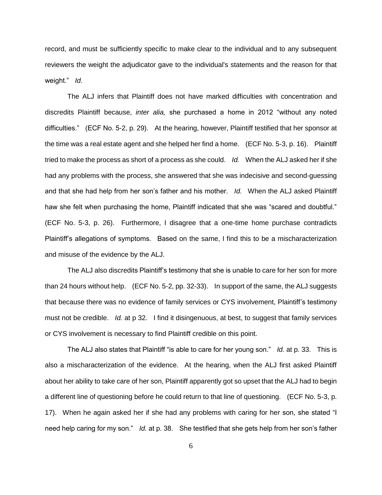record, and must be sufficiently specific to make clear to the individual and to any subsequent reviewers the weight the adjudicator gave to the individual's statements and the reason for that weight." *Id*.

The ALJ infers that Plaintiff does not have marked difficulties with concentration and discredits Plaintiff because, *inter alia,* she purchased a home in 2012 "without any noted difficulties." (ECF No. 5-2, p. 29). At the hearing, however, Plaintiff testified that her sponsor at the time was a real estate agent and she helped her find a home. (ECF No. 5-3, p. 16). Plaintiff tried to make the process as short of a process as she could. *Id.* When the ALJ asked her if she had any problems with the process, she answered that she was indecisive and second-guessing and that she had help from her son's father and his mother. *Id.* When the ALJ asked Plaintiff haw she felt when purchasing the home, Plaintiff indicated that she was "scared and doubtful." (ECF No. 5-3, p. 26). Furthermore, I disagree that a one-time home purchase contradicts Plaintiff's allegations of symptoms. Based on the same, I find this to be a mischaracterization and misuse of the evidence by the ALJ.

The ALJ also discredits Plaintiff's testimony that she is unable to care for her son for more than 24 hours without help. (ECF No. 5-2, pp. 32-33). In support of the same, the ALJ suggests that because there was no evidence of family services or CYS involvement, Plaintiff's testimony must not be credible. *Id.* at p 32. I find it disingenuous, at best, to suggest that family services or CYS involvement is necessary to find Plaintiff credible on this point.

The ALJ also states that Plaintiff "is able to care for her young son." *Id.* at p. 33. This is also a mischaracterization of the evidence. At the hearing, when the ALJ first asked Plaintiff about her ability to take care of her son, Plaintiff apparently got so upset that the ALJ had to begin a different line of questioning before he could return to that line of questioning. (ECF No. 5-3, p. 17). When he again asked her if she had any problems with caring for her son, she stated "I need help caring for my son." *Id.* at p. 38. She testified that she gets help from her son's father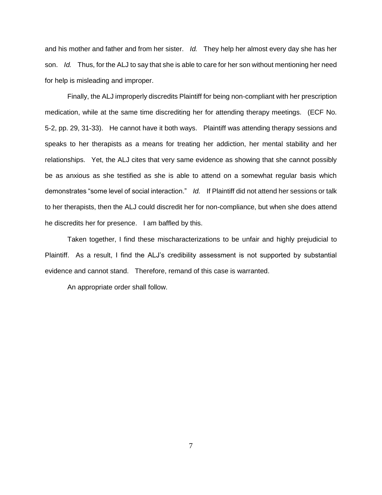and his mother and father and from her sister. *Id.* They help her almost every day she has her son. *Id.* Thus, for the ALJ to say that she is able to care for her son without mentioning her need for help is misleading and improper.

Finally, the ALJ improperly discredits Plaintiff for being non-compliant with her prescription medication, while at the same time discrediting her for attending therapy meetings. (ECF No. 5-2, pp. 29, 31-33). He cannot have it both ways. Plaintiff was attending therapy sessions and speaks to her therapists as a means for treating her addiction, her mental stability and her relationships. Yet, the ALJ cites that very same evidence as showing that she cannot possibly be as anxious as she testified as she is able to attend on a somewhat regular basis which demonstrates "some level of social interaction." *Id.* If Plaintiff did not attend her sessions or talk to her therapists, then the ALJ could discredit her for non-compliance, but when she does attend he discredits her for presence. I am baffled by this.

Taken together, I find these mischaracterizations to be unfair and highly prejudicial to Plaintiff. As a result, I find the ALJ's credibility assessment is not supported by substantial evidence and cannot stand. Therefore, remand of this case is warranted.

An appropriate order shall follow.